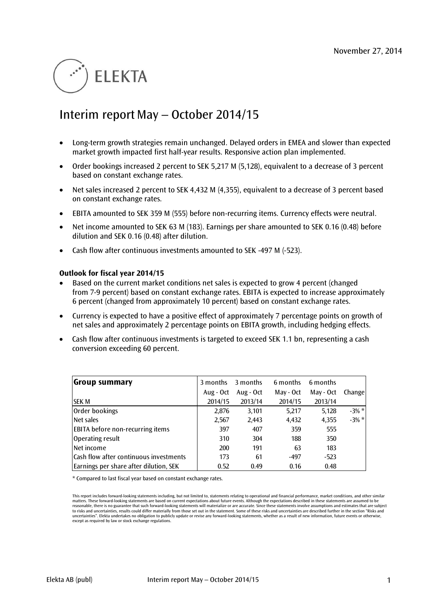# **ELEKTA**

# Interim report May – October 2014/15

- Long-term growth strategies remain unchanged. Delayed orders in EMEA and slower than expected market growth impacted first half-year results. Responsive action plan implemented.
- Order bookings increased 2 percent to SEK 5,217 M (5,128), equivalent to a decrease of 3 percent based on constant exchange rates.
- Net sales increased 2 percent to SEK 4,432 M (4,355), equivalent to a decrease of 3 percent based on constant exchange rates.
- EBITA amounted to SEK 359 M (555) before non-recurring items. Currency effects were neutral.
- Net income amounted to SEK 63 M (183). Earnings per share amounted to SEK 0.16 (0.48) before dilution and SEK 0.16 (0.48) after dilution.
- Cash flow after continuous investments amounted to SEK -497 M (-523).

# **Outlook for fiscal year 2014/15**

- Based on the current market conditions net sales is expected to grow 4 percent (changed from 7-9 percent) based on constant exchange rates. EBITA is expected to increase approximately 6 percent (changed from approximately 10 percent) based on constant exchange rates.
- Currency is expected to have a positive effect of approximately 7 percentage points on growth of net sales and approximately 2 percentage points on EBITA growth, including hedging effects.
- Cash flow after continuous investments is targeted to exceed SEK 1.1 bn, representing a cash conversion exceeding 60 percent.

| <b>Group summary</b>                    | 3 months  | 3 months  | 6 months  | 6 months  |               |
|-----------------------------------------|-----------|-----------|-----------|-----------|---------------|
|                                         | Aug - Oct | Aug - Oct | May - Oct | May - Oct | <b>Change</b> |
| <b>SEK M</b>                            | 2014/15   | 2013/14   | 2014/15   | 2013/14   |               |
| Order bookings                          | 2,876     | 3,101     | 5,217     | 5,128     | $-3\% *$      |
| Net sales                               | 2,567     | 2,443     | 4,432     | 4,355     | $-3\% *$      |
| <b>EBITA</b> before non-recurring items | 397       | 407       | 359       | 555       |               |
| Operating result                        | 310       | 304       | 188       | 350       |               |
| Net income                              | 200       | 191       | 63        | 183       |               |
| Cash flow after continuous investments  | 173       | 61        | $-497$    | $-523$    |               |
| Earnings per share after dilution, SEK  | 0.52      | 0.49      | 0.16      | 0.48      |               |

\* Compared to last fiscal year based on constant exchange rates.

This report includes forward-looking statements including, but not limited to, statements relating to operational and financial performance, market conditions, and other similar matters. These forward-looking statements are based on current expectations about future events. Although the expectations described in these statements are assumed to be<br>reasonable, there is no guarantee that such forward uncertainties". Elekta undertakes no obligation to publicly update or revise any forward-looking statements, whether as a result of new information, future events or otherwise, except as required by law or stock exchange regulations.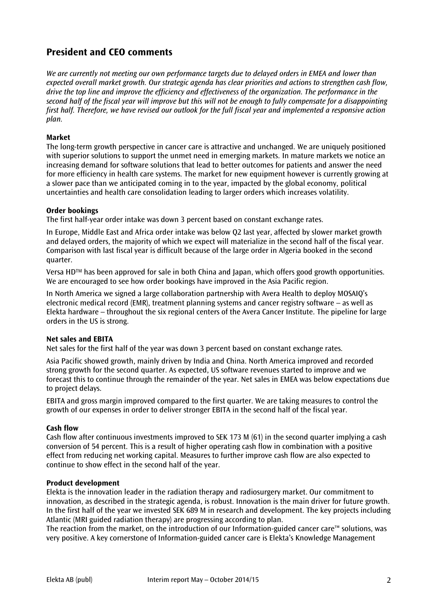# **President and CEO comments**

*We are currently not meeting our own performance targets due to delayed orders in EMEA and lower than expected overall market growth. Our strategic agenda has clear priorities and actions to strengthen cash flow, drive the top line and improve the efficiency and effectiveness of the organization. The performance in the second half of the fiscal year will improve but this will not be enough to fully compensate for a disappointing first half. Therefore, we have revised our outlook for the full fiscal year and implemented a responsive action plan.*

# **Market**

The long-term growth perspective in cancer care is attractive and unchanged. We are uniquely positioned with superior solutions to support the unmet need in emerging markets. In mature markets we notice an increasing demand for software solutions that lead to better outcomes for patients and answer the need for more efficiency in health care systems. The market for new equipment however is currently growing at a slower pace than we anticipated coming in to the year, impacted by the global economy, political uncertainties and health care consolidation leading to larger orders which increases volatility.

# **Order bookings**

The first half-year order intake was down 3 percent based on constant exchange rates.

In Europe, Middle East and Africa order intake was below Q2 last year, affected by slower market growth and delayed orders, the majority of which we expect will materialize in the second half of the fiscal year. Comparison with last fiscal year is difficult because of the large order in Algeria booked in the second quarter.

Versa HDTM has been approved for sale in both China and Japan, which offers good growth opportunities. We are encouraged to see how order bookings have improved in the Asia Pacific region.

In North America we signed a large collaboration partnership with Avera Health to deploy MOSAIQ's electronic medical record (EMR), treatment planning systems and cancer registry software – as well as Elekta hardware – throughout the six regional centers of the Avera Cancer Institute. The pipeline for large orders in the US is strong.

# **Net sales and EBITA**

Net sales for the first half of the year was down 3 percent based on constant exchange rates.

Asia Pacific showed growth, mainly driven by India and China. North America improved and recorded strong growth for the second quarter. As expected, US software revenues started to improve and we forecast this to continue through the remainder of the year. Net sales in EMEA was below expectations due to project delays.

EBITA and gross margin improved compared to the first quarter. We are taking measures to control the growth of our expenses in order to deliver stronger EBITA in the second half of the fiscal year.

# **Cash flow**

Cash flow after continuous investments improved to SEK 173 M (61) in the second quarter implying a cash conversion of 54 percent. This is a result of higher operating cash flow in combination with a positive effect from reducing net working capital. Measures to further improve cash flow are also expected to continue to show effect in the second half of the year.

# **Product development**

Elekta is the innovation leader in the radiation therapy and radiosurgery market. Our commitment to innovation, as described in the strategic agenda, is robust. Innovation is the main driver for future growth. In the first half of the year we invested SEK 689 M in research and development. The key projects including Atlantic (MRI guided radiation therapy) are progressing according to plan.

The reaction from the market, on the introduction of our Information-guided cancer care™ solutions, was very positive. A key cornerstone of Information-guided cancer care is Elekta's Knowledge Management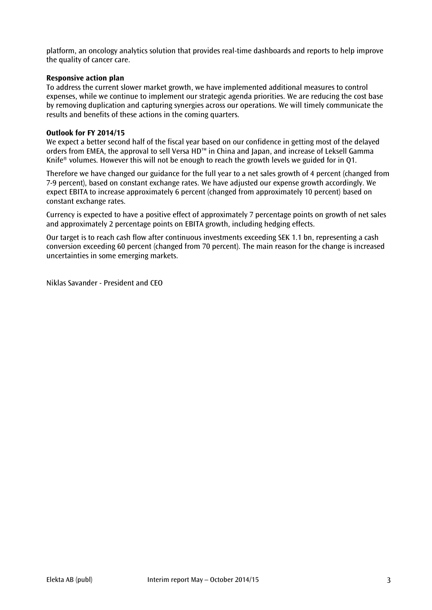platform, an oncology analytics solution that provides real-time dashboards and reports to help improve the quality of cancer care.

# **Responsive action plan**

To address the current slower market growth, we have implemented additional measures to control expenses, while we continue to implement our strategic agenda priorities. We are reducing the cost base by removing duplication and capturing synergies across our operations. We will timely communicate the results and benefits of these actions in the coming quarters.

#### **Outlook for FY 2014/15**

We expect a better second half of the fiscal year based on our confidence in getting most of the delayed orders from EMEA, the approval to sell Versa HD™ in China and Japan, and increase of Leksell Gamma Knife® volumes. However this will not be enough to reach the growth levels we guided for in Q1.

Therefore we have changed our guidance for the full year to a net sales growth of 4 percent (changed from 7-9 percent), based on constant exchange rates. We have adjusted our expense growth accordingly. We expect EBITA to increase approximately 6 percent (changed from approximately 10 percent) based on constant exchange rates.

Currency is expected to have a positive effect of approximately 7 percentage points on growth of net sales and approximately 2 percentage points on EBITA growth, including hedging effects.

Our target is to reach cash flow after continuous investments exceeding SEK 1.1 bn, representing a cash conversion exceeding 60 percent (changed from 70 percent). The main reason for the change is increased uncertainties in some emerging markets.

Niklas Savander - President and CEO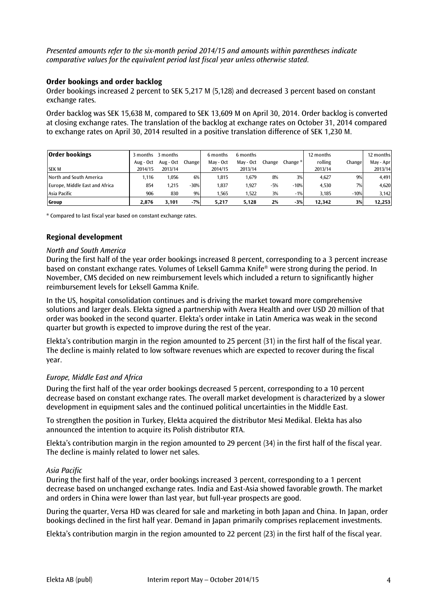*Presented amounts refer to the six-month period 2014/15 and amounts within parentheses indicate comparative values for the equivalent period last fiscal year unless otherwise stated.*

# **Order bookings and order backlog**

Order bookings increased 2 percent to SEK 5,217 M (5,128) and decreased 3 percent based on constant exchange rates.

Order backlog was SEK 15,638 M, compared to SEK 13,609 M on April 30, 2014. Order backlog is converted at closing exchange rates. The translation of the backlog at exchange rates on October 31, 2014 compared to exchange rates on April 30, 2014 resulted in a positive translation difference of SEK 1,230 M.

| <b>Order bookings</b>          | 3 months  | 3 months  |        | 6 months  | 6 months  |        |            | 12 months |        | 12 months |
|--------------------------------|-----------|-----------|--------|-----------|-----------|--------|------------|-----------|--------|-----------|
|                                | Aug - Oct | Aug - Oct | Change | May - Oct | May - Oct | Change | Change $*$ | rolling   | Change | May - Apr |
| <b>SEK M</b>                   | 2014/15   | 2013/14   |        | 2014/15   | 2013/14   |        |            | 2013/14   |        | 2013/14   |
| North and South America        | 1.116     | 1.056     | 6%     | 1.815     | 1.679     | 8%     | 3%         | 4.627     | 9%     | 4,491     |
| Europe, Middle East and Africa | 854       | 1.215     | $-30%$ | 1.837     | 1.927     | $-5%$  | $-10%$     | 4.530     | 7%     | 4,620     |
| Asia Pacific                   | 906       | 830       | 9%     | 1,565     | 1,522     | 3%     | $-1%$      | 3,185     | $-10%$ | 3,142     |
| Group                          | 2.876     | 3,101     | $-7%$  | 5.217     | 5.128     | 2%     | $-3%$      | 12.342    | 3%     | 12,253    |

\* Compared to last fiscal year based on constant exchange rates.

# **Regional development**

# *North and South America*

During the first half of the year order bookings increased 8 percent, corresponding to a 3 percent increase based on constant exchange rates. Volumes of Leksell Gamma Knife® were strong during the period. In November, CMS decided on new reimbursement levels which included a return to significantly higher reimbursement levels for Leksell Gamma Knife.

In the US, hospital consolidation continues and is driving the market toward more comprehensive solutions and larger deals. Elekta signed a partnership with Avera Health and over USD 20 million of that order was booked in the second quarter. Elekta's order intake in Latin America was weak in the second quarter but growth is expected to improve during the rest of the year.

Elekta's contribution margin in the region amounted to 25 percent (31) in the first half of the fiscal year. The decline is mainly related to low software revenues which are expected to recover during the fiscal year.

# *Europe, Middle East and Africa*

During the first half of the year order bookings decreased 5 percent, corresponding to a 10 percent decrease based on constant exchange rates. The overall market development is characterized by a slower development in equipment sales and the continued political uncertainties in the Middle East.

To strengthen the position in Turkey, Elekta acquired the distributor Mesi Medikal. Elekta has also announced the intention to acquire its Polish distributor RTA.

Elekta's contribution margin in the region amounted to 29 percent (34) in the first half of the fiscal year. The decline is mainly related to lower net sales.

# *Asia Pacific*

During the first half of the year, order bookings increased 3 percent, corresponding to a 1 percent decrease based on unchanged exchange rates. India and East-Asia showed favorable growth. The market and orders in China were lower than last year, but full-year prospects are good.

During the quarter, Versa HD was cleared for sale and marketing in both Japan and China. In Japan, order bookings declined in the first half year. Demand in Japan primarily comprises replacement investments.

Elekta's contribution margin in the region amounted to 22 percent (23) in the first half of the fiscal year.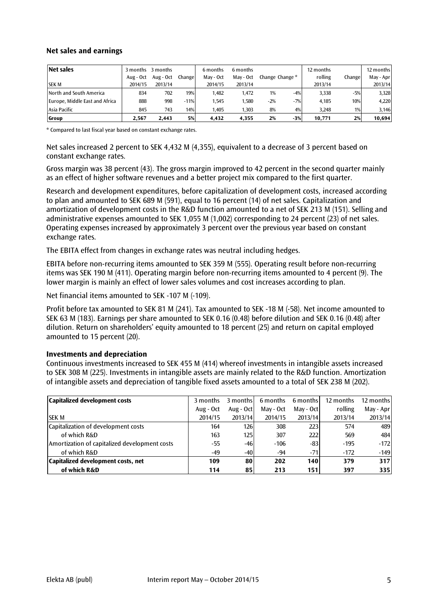# **Net sales and earnings**

| Net sales                      | 3 months  | 3 months  |        | 6 months  | 6 months  |       |                 | 12 months |        | 12 months |
|--------------------------------|-----------|-----------|--------|-----------|-----------|-------|-----------------|-----------|--------|-----------|
|                                | Aug - Oct | Aug - Oct | Change | May - Oct | May - Oct |       | Change Change * | rolling   | Change | May - Apr |
| <b>SEK M</b>                   | 2014/15   | 2013/14   |        | 2014/15   | 2013/14   |       |                 | 2013/14   |        | 2013/14   |
| North and South America        | 834       | 702       | 19%    | 1.482     | 1.472     | 1%    | $-4%$           | 3,338     | -5%    | 3,328     |
| Europe, Middle East and Africa | 888       | 998       | $-11%$ | 1.545     | 1.580     | $-2%$ | $-7%$           | 4.185     | 10%    | 4,220     |
| Asia Pacific                   | 845       | 743       | 14%    | 1,405     | 1,303     | 8%    | 4%              | 3.248     | 1%     | 3,146     |
| <b>Group</b>                   | 2.567     | 2.443     | 5%     | 4,432     | 4.355     | 2%    | $-3%$           | 10,771    | 2%     | 10,694    |

\* Compared to last fiscal year based on constant exchange rates.

Net sales increased 2 percent to SEK 4,432 M (4,355), equivalent to a decrease of 3 percent based on constant exchange rates.

Gross margin was 38 percent (43). The gross margin improved to 42 percent in the second quarter mainly as an effect of higher software revenues and a better project mix compared to the first quarter.

Research and development expenditures, before capitalization of development costs, increased according to plan and amounted to SEK 689 M (591), equal to 16 percent (14) of net sales. Capitalization and amortization of development costs in the R&D function amounted to a net of SEK 213 M (151). Selling and administrative expenses amounted to SEK 1,055 M (1,002) corresponding to 24 percent (23) of net sales. Operating expenses increased by approximately 3 percent over the previous year based on constant exchange rates.

The EBITA effect from changes in exchange rates was neutral including hedges.

EBITA before non-recurring items amounted to SEK 359 M (555). Operating result before non-recurring items was SEK 190 M (411). Operating margin before non-recurring items amounted to 4 percent (9). The lower margin is mainly an effect of lower sales volumes and cost increases according to plan.

Net financial items amounted to SEK -107 M (-109).

Profit before tax amounted to SEK 81 M (241). Tax amounted to SEK -18 M (-58). Net income amounted to SEK 63 M (183). Earnings per share amounted to SEK 0.16 (0.48) before dilution and SEK 0.16 (0.48) after dilution. Return on shareholders' equity amounted to 18 percent (25) and return on capital employed amounted to 15 percent (20).

# **Investments and depreciation**

Continuous investments increased to SEK 455 M (414) whereof investments in intangible assets increased to SEK 308 M (225). Investments in intangible assets are mainly related to the R&D function. Amortization of intangible assets and depreciation of tangible fixed assets amounted to a total of SEK 238 M (202).

| Capitalized development costs                 | 3 months  | 3 months    | 6 months  | 6 months   | 12 months | 12 months |
|-----------------------------------------------|-----------|-------------|-----------|------------|-----------|-----------|
|                                               | Aug - Oct | Aug - $Oct$ | May - Oct | May - Oct  | rolling   | May - Apr |
| <b>SEK M</b>                                  | 2014/15   | 2013/14     | 2014/15   | 2013/14    | 2013/14   | 2013/14   |
| Capitalization of development costs           | 164       | 126         | 308       | <b>223</b> | 574       | 489       |
| of which R&D                                  | 163       | 125         | 307       | 222        | 569       | 484       |
| Amortization of capitalized development costs | -55       | $-46$       | $-106$    | $-83$      | $-195$    | $-172$    |
| of which R&D                                  | $-49$     | $-40$       | -94       | $-71$      | $-172$    | $-149$    |
| Capitalized development costs, net            | 109       | 80          | 202       | 140        | 379       | 317       |
| of which R&D                                  | 114       | 85          | 213       | 1511       | 397       | 335       |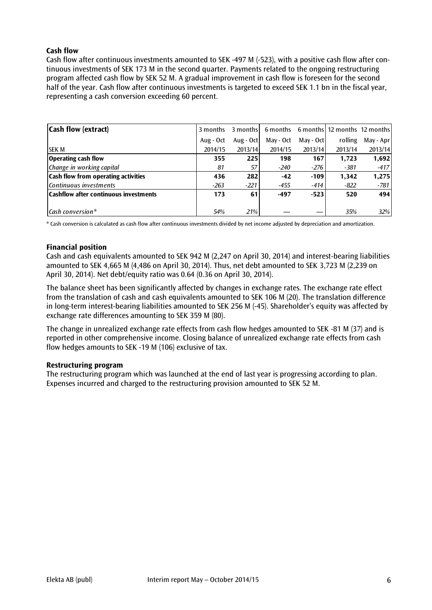# **Cash flow**

Cash flow after continuous investments amounted to SEK -497 M (-523), with a positive cash flow after continuous investments of SEK 173 M in the second quarter. Payments related to the ongoing restructuring program affected cash flow by SEK 52 M. A gradual improvement in cash flow is foreseen for the second half of the year. Cash flow after continuous investments is targeted to exceed SEK 1.1 bn in the fiscal year, representing a cash conversion exceeding 60 percent.

| <b>Cash flow (extract)</b>                   | 3 months  | 3 months    | 6 months  |           | 6 months   12 months 12 months |           |
|----------------------------------------------|-----------|-------------|-----------|-----------|--------------------------------|-----------|
|                                              | Aug - Oct | Aug - $Oct$ | May - Oct | May - Oct | rolling                        | May - Apr |
| <b>SEK M</b>                                 | 2014/15   | 2013/14     | 2014/15   | 2013/14   | 2013/14                        | 2013/14   |
| <b>Operating cash flow</b>                   | 355       | 225         | 198       | 167       | 1,723                          | 1,692     |
| Change in working capital                    | 81        | 57          | $-240$    | $-276$    | $-381$                         | $-417$    |
| <b>Cash flow from operating activities</b>   | 436       | 282         | -42       | $-109$    | 1,342                          | 1,275     |
| Continuous investments                       | $-263$    | $-221$      | $-455$    | -414      | $-822$                         | -781      |
| <b>Cashflow after continuous investments</b> | 173       | 61          | $-497$    | $-523$    | 520                            | 494       |
|                                              |           |             |           |           |                                |           |
| $\mathsf{Cash}\,\mathsf{conversion}^*$       | 54%       | 21%         |           |           | 35%                            | 32%       |

\* Cash conversion is calculated as cash flow after continuous investments divided by net income adjusted by depreciation and amortization.

# **Financial position**

Cash and cash equivalents amounted to SEK 942 M (2,247 on April 30, 2014) and interest-bearing liabilities amounted to SEK 4,665 M (4,486 on April 30, 2014). Thus, net debt amounted to SEK 3,723 M (2,239 on April 30, 2014). Net debt/equity ratio was 0.64 (0.36 on April 30, 2014).

The balance sheet has been significantly affected by changes in exchange rates. The exchange rate effect from the translation of cash and cash equivalents amounted to SEK 106 M (20). The translation difference in long-term interest-bearing liabilities amounted to SEK 256 M (-45). Shareholder's equity was affected by exchange rate differences amounting to SEK 359 M (80).

The change in unrealized exchange rate effects from cash flow hedges amounted to SEK -81 M (37) and is reported in other comprehensive income. Closing balance of unrealized exchange rate effects from cash flow hedges amounts to SEK -19 M (106) exclusive of tax.

# **Restructuring program**

The restructuring program which was launched at the end of last year is progressing according to plan. Expenses incurred and charged to the restructuring provision amounted to SEK 52 M.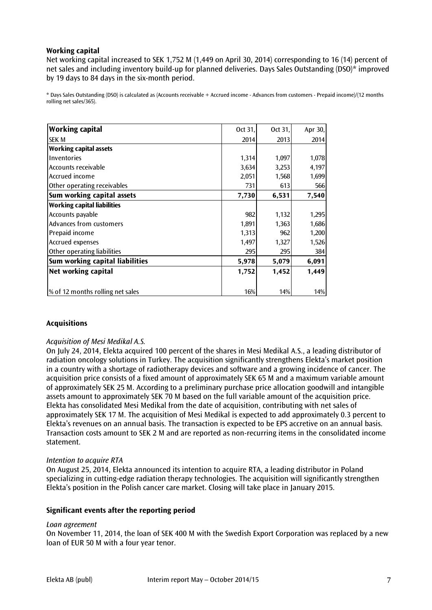# **Working capital**

Net working capital increased to SEK 1,752 M (1,449 on April 30, 2014) corresponding to 16 (14) percent of net sales and including inventory build-up for planned deliveries. Days Sales Outstanding (DSO)\* improved by 19 days to 84 days in the six-month period.

\* Days Sales Outstanding (DSO) is calculated as (Accounts receivable + Accrued income - Advances from customers - Prepaid income)/(12 months rolling net sales/365).

| <b>Working capital</b>             | Oct 31, | Oct 31, | Apr 30, |
|------------------------------------|---------|---------|---------|
| <b>SEK M</b>                       | 2014    | 2013    | 2014    |
| <b>Working capital assets</b>      |         |         |         |
| Inventories                        | 1,314   | 1,097   | 1,078   |
| Accounts receivable                | 3,634   | 3,253   | 4,197   |
| Accrued income                     | 2,051   | 1,568   | 1,699   |
| Other operating receivables        | 731     | 613     | 566     |
| Sum working capital assets         | 7,730   | 6,531   | 7,540   |
| <b>Working capital liabilities</b> |         |         |         |
| Accounts payable                   | 982     | 1,132   | 1,295   |
| Advances from customers            | 1,891   | 1,363   | 1,686   |
| Prepaid income                     | 1,313   | 962     | 1,200   |
| <b>Accrued expenses</b>            | 1,497   | 1,327   | 1,526   |
| Other operating liabilities        | 295     | 295     | 384     |
| Sum working capital liabilities    | 5,978   | 5,079   | 6,091   |
| Net working capital                | 1,752   | 1,452   | 1,449   |
|                                    |         |         |         |
| % of 12 months rolling net sales   | 16%     | 14%     | 14%     |

# **Acquisitions**

# *Acquisition of Mesi Medikal A.S.*

On July 24, 2014, Elekta acquired 100 percent of the shares in Mesi Medikal A.S., a leading distributor of radiation oncology solutions in Turkey. The acquisition significantly strengthens Elekta's market position in a country with a shortage of radiotherapy devices and software and a growing incidence of cancer. The acquisition price consists of a fixed amount of approximately SEK 65 M and a maximum variable amount of approximately SEK 25 M. According to a preliminary purchase price allocation goodwill and intangible assets amount to approximately SEK 70 M based on the full variable amount of the acquisition price. Elekta has consolidated Mesi Medikal from the date of acquisition, contributing with net sales of approximately SEK 17 M. The acquisition of Mesi Medikal is expected to add approximately 0.3 percent to Elekta's revenues on an annual basis. The transaction is expected to be EPS accretive on an annual basis. Transaction costs amount to SEK 2 M and are reported as non-recurring items in the consolidated income statement.

# *Intention to acquire RTA*

On August 25, 2014, Elekta announced its intention to acquire RTA, a leading distributor in Poland specializing in cutting-edge radiation therapy technologies. The acquisition will significantly strengthen Elekta's position in the Polish cancer care market. Closing will take place in January 2015.

# **Significant events after the reporting period**

#### *Loan agreement*

On November 11, 2014, the loan of SEK 400 M with the Swedish Export Corporation was replaced by a new loan of EUR 50 M with a four year tenor.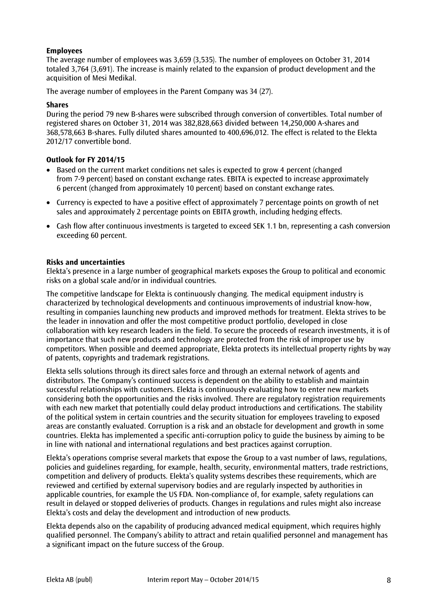# **Employees**

The average number of employees was 3,659 (3,535). The number of employees on October 31, 2014 totaled 3,764 (3,691). The increase is mainly related to the expansion of product development and the acquisition of Mesi Medikal.

The average number of employees in the Parent Company was 34 (27).

# **Shares**

During the period 79 new B-shares were subscribed through conversion of convertibles. Total number of registered shares on October 31, 2014 was 382,828,663 divided between 14,250,000 A-shares and 368,578,663 B-shares. Fully diluted shares amounted to 400,696,012. The effect is related to the Elekta 2012/17 convertible bond.

# **Outlook for FY 2014/15**

- Based on the current market conditions net sales is expected to grow 4 percent (changed from 7-9 percent) based on constant exchange rates. EBITA is expected to increase approximately 6 percent (changed from approximately 10 percent) based on constant exchange rates.
- Currency is expected to have a positive effect of approximately 7 percentage points on growth of net sales and approximately 2 percentage points on EBITA growth, including hedging effects.
- Cash flow after continuous investments is targeted to exceed SEK 1.1 bn, representing a cash conversion exceeding 60 percent.

# **Risks and uncertainties**

Elekta's presence in a large number of geographical markets exposes the Group to political and economic risks on a global scale and/or in individual countries.

The competitive landscape for Elekta is continuously changing. The medical equipment industry is characterized by technological developments and continuous improvements of industrial know-how, resulting in companies launching new products and improved methods for treatment. Elekta strives to be the leader in innovation and offer the most competitive product portfolio, developed in close collaboration with key research leaders in the field. To secure the proceeds of research investments, it is of importance that such new products and technology are protected from the risk of improper use by competitors. When possible and deemed appropriate, Elekta protects its intellectual property rights by way of patents, copyrights and trademark registrations.

Elekta sells solutions through its direct sales force and through an external network of agents and distributors. The Company's continued success is dependent on the ability to establish and maintain successful relationships with customers. Elekta is continuously evaluating how to enter new markets considering both the opportunities and the risks involved. There are regulatory registration requirements with each new market that potentially could delay product introductions and certifications. The stability of the political system in certain countries and the security situation for employees traveling to exposed areas are constantly evaluated. Corruption is a risk and an obstacle for development and growth in some countries. Elekta has implemented a specific anti-corruption policy to guide the business by aiming to be in line with national and international regulations and best practices against corruption.

Elekta's operations comprise several markets that expose the Group to a vast number of laws, regulations, policies and guidelines regarding, for example, health, security, environmental matters, trade restrictions, competition and delivery of products. Elekta's quality systems describes these requirements, which are reviewed and certified by external supervisory bodies and are regularly inspected by authorities in applicable countries, for example the US FDA. Non-compliance of, for example, safety regulations can result in delayed or stopped deliveries of products. Changes in regulations and rules might also increase Elekta's costs and delay the development and introduction of new products.

Elekta depends also on the capability of producing advanced medical equipment, which requires highly qualified personnel. The Company's ability to attract and retain qualified personnel and management has a significant impact on the future success of the Group.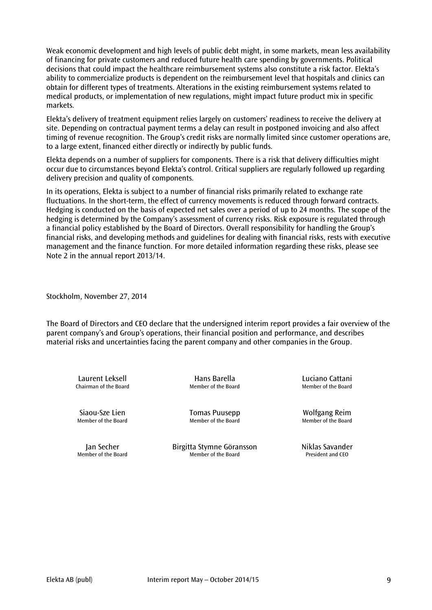Weak economic development and high levels of public debt might, in some markets, mean less availability of financing for private customers and reduced future health care spending by governments. Political decisions that could impact the healthcare reimbursement systems also constitute a risk factor. Elekta's ability to commercialize products is dependent on the reimbursement level that hospitals and clinics can obtain for different types of treatments. Alterations in the existing reimbursement systems related to medical products, or implementation of new regulations, might impact future product mix in specific markets.

Elekta's delivery of treatment equipment relies largely on customers' readiness to receive the delivery at site. Depending on contractual payment terms a delay can result in postponed invoicing and also affect timing of revenue recognition. The Group's credit risks are normally limited since customer operations are, to a large extent, financed either directly or indirectly by public funds.

Elekta depends on a number of suppliers for components. There is a risk that delivery difficulties might occur due to circumstances beyond Elekta's control. Critical suppliers are regularly followed up regarding delivery precision and quality of components.

In its operations, Elekta is subject to a number of financial risks primarily related to exchange rate fluctuations. In the short-term, the effect of currency movements is reduced through forward contracts. Hedging is conducted on the basis of expected net sales over a period of up to 24 months. The scope of the hedging is determined by the Company's assessment of currency risks. Risk exposure is regulated through a financial policy established by the Board of Directors. Overall responsibility for handling the Group's financial risks, and developing methods and guidelines for dealing with financial risks, rests with executive management and the finance function. For more detailed information regarding these risks, please see Note 2 in the annual report 2013/14.

Stockholm, November 27, 2014

The Board of Directors and CEO declare that the undersigned interim report provides a fair overview of the parent company's and Group's operations, their financial position and performance, and describes material risks and uncertainties facing the parent company and other companies in the Group.

Laurent Leksell **Example 2** Hans Barella **Hans Barella** Luciano Cattani<br>Chairman of the Board **Chairman of the Board** Member of the Board Chairman of the Board

Member of the Board Member of the Board Member of the Board

Jan Secher Birgitta Stymne Göransson Niklas Savander Member of the Board Member of the Board President and CEO

Siaou-Sze Lien Tomas Puusepp Wolfgang Reim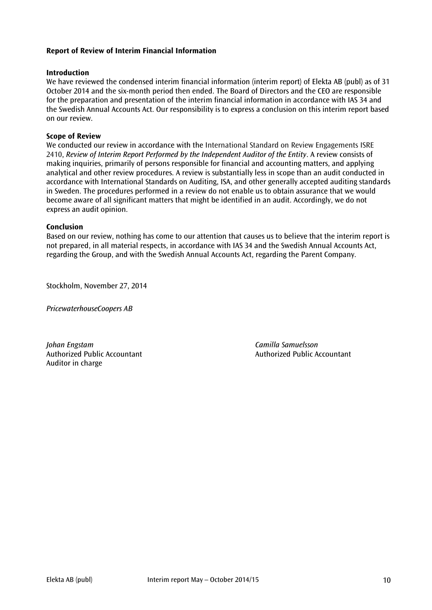# **Report of Review of Interim Financial Information**

# **Introduction**

We have reviewed the condensed interim financial information (interim report) of Elekta AB (publ) as of 31 October 2014 and the six-month period then ended. The Board of Directors and the CEO are responsible for the preparation and presentation of the interim financial information in accordance with IAS 34 and the Swedish Annual Accounts Act. Our responsibility is to express a conclusion on this interim report based on our review.

# **Scope of Review**

We conducted our review in accordance with the International Standard on Review Engagements ISRE 2410, *Review of Interim Report Performed by the Independent Auditor of the Entity*. A review consists of making inquiries, primarily of persons responsible for financial and accounting matters, and applying analytical and other review procedures. A review is substantially less in scope than an audit conducted in accordance with International Standards on Auditing, ISA, and other generally accepted auditing standards in Sweden. The procedures performed in a review do not enable us to obtain assurance that we would become aware of all significant matters that might be identified in an audit. Accordingly, we do not express an audit opinion.

# **Conclusion**

Based on our review, nothing has come to our attention that causes us to believe that the interim report is not prepared, in all material respects, in accordance with IAS 34 and the Swedish Annual Accounts Act, regarding the Group, and with the Swedish Annual Accounts Act, regarding the Parent Company.

Stockholm, November 27, 2014

*PricewaterhouseCoopers AB*

*Johan Engstam Camilla Samuelsson* Authorized Public Accountant Authorized Public Accountant Auditor in charge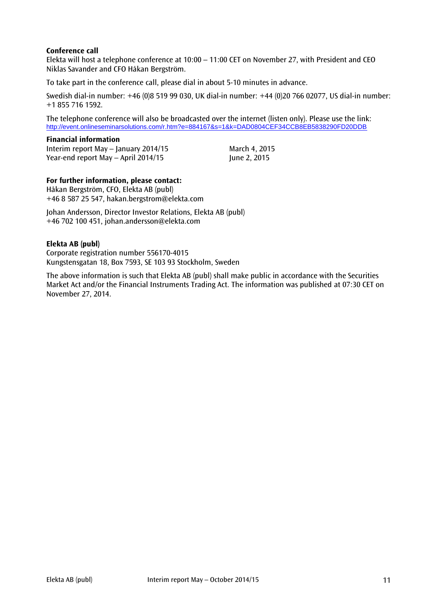# **Conference call**

Elekta will host a telephone conference at 10:00 – 11:00 CET on November 27, with President and CEO Niklas Savander and CFO Håkan Bergström.

To take part in the conference call, please dial in about 5-10 minutes in advance.

Swedish dial-in number: +46 (0)8 519 99 030, UK dial-in number: +44 (0)20 766 02077, US dial-in number: +1 855 716 1592.

The telephone conference will also be broadcasted over the internet (listen only). Please use the link: <http://event.onlineseminarsolutions.com/r.htm?e=884167&s=1&k=DAD0804CEF34CCB8EB5838290FD20DDB>

# **Financial information**

Interim report May – January 2014/15 March 4, 2015 Year-end report  $May - April 2014/15$  June 2, 2015

# **For further information, please contact:**

Håkan Bergström, CFO, Elekta AB (publ) +46 8 587 25 547, hakan.bergstrom@elekta.com

Johan Andersson, Director Investor Relations, Elekta AB (publ) +46 702 100 451, [johan.andersson@elekta.com](mailto:johan.anderssonmelbi@elekta.com)

# **Elekta AB (publ)**

Corporate registration number 556170-4015 Kungstensgatan 18, Box 7593, SE 103 93 Stockholm, Sweden

The above information is such that Elekta AB (publ) shall make public in accordance with the Securities Market Act and/or the Financial Instruments Trading Act. The information was published at 07:30 CET on November 27, 2014.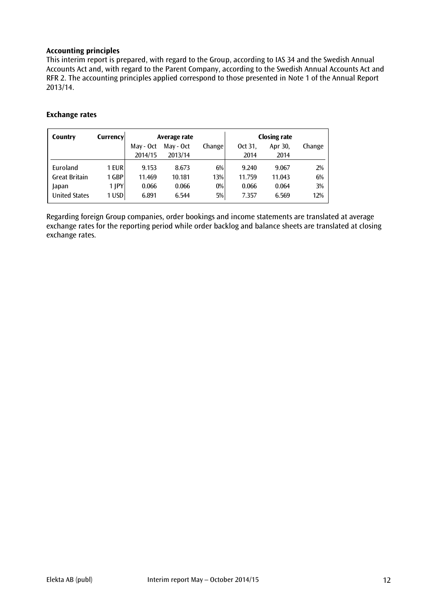# **Accounting principles**

This interim report is prepared, with regard to the Group, according to IAS 34 and the Swedish Annual Accounts Act and, with regard to the Parent Company, according to the Swedish Annual Accounts Act and RFR 2. The accounting principles applied correspond to those presented in Note 1 of the Annual Report 2013/14.

# **Exchange rates**

| Country              | Currencyl | Average rate |           |        |           | <b>Closing rate</b> |        |
|----------------------|-----------|--------------|-----------|--------|-----------|---------------------|--------|
|                      |           | May - Oct    | May - Oct | Change | $0$ d 31, | Apr 30,             | Change |
|                      |           | 2014/15      | 2013/14   |        | 2014      | 2014                |        |
| Euroland             | 1 EUR     | 9.153        | 8.673     | 6%     | 9.240     | 9.067               | 2%     |
| <b>Great Britain</b> | 1 GBP     | 11.469       | 10.181    | 13%    | 11.759    | 11.043              | 6%     |
| Japan                | 1 JPY     | 0.066        | 0.066     | $0\%$  | 0.066     | 0.064               | 3%     |
| <b>United States</b> | 1 USD I   | 6.891        | 6.544     | 5%     | 7.357     | 6.569               | 12%    |

Regarding foreign Group companies, order bookings and income statements are translated at average exchange rates for the reporting period while order backlog and balance sheets are translated at closing exchange rates.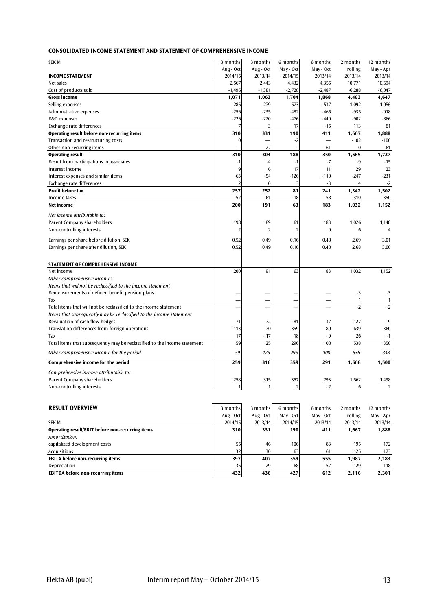| SEK M                                                                     | 3 months       | 3 months       | 6 months       | 6 months  | 12 months      | 12 months      |
|---------------------------------------------------------------------------|----------------|----------------|----------------|-----------|----------------|----------------|
|                                                                           | Aug - Oct      | Aug - Oct      | May - Oct      | May - Oct | rolling        | May - Apr      |
| <b>INCOME STATEMENT</b>                                                   | 2014/15        | 2013/14        | 2014/15        | 2013/14   | 2013/14        | 2013/14        |
| Net sales                                                                 | 2,567          | 2,443          | 4,432          | 4,355     | 10,771         | 10,694         |
| Cost of products sold                                                     | $-1,496$       | $-1,381$       | $-2,728$       | $-2,487$  | $-6,288$       | $-6,047$       |
| <b>Gross income</b>                                                       | 1,071          | 1,062          | 1,704          | 1,868     | 4,483          | 4,647          |
| Selling expenses                                                          | -286           | -279           | $-573$         | -537      | $-1,092$       | $-1,056$       |
| Administrative expenses                                                   | $-256$         | $-235$         | $-482$         | $-465$    | $-935$         | $-918$         |
| R&D expenses                                                              | $-226$         | $-220$         | $-476$         | -440      | $-902$         | $-866$         |
| Exchange rate differences                                                 | 7              | 3              | 17             | $-15$     | 113            | 81             |
| Operating result before non-recurring items                               | 310            | 331            | 190            | 411       | 1,667          | 1,888          |
| Transaction and restructuring costs                                       | 0              |                | -2             |           | $-102$         | $-100$         |
| Other non-recurring items                                                 |                | $-27$          |                | -61       | $\bf{0}$       | -61            |
| <b>Operating result</b>                                                   | 310            | 304            | 188            | 350       | 1,565          | 1,727          |
| Result from participations in associates                                  | $-1$           | -4             | $-1$           | $-7$      | -9             | $-15$          |
| Interest income                                                           | q              | 6              | 17             | 11        | 29             | 23             |
| Interest expenses and similar items                                       | -63            | $-54$          | $-126$         | $-110$    | -247           | $-231$         |
| Exchange rate differences                                                 | $\overline{a}$ | $\Omega$       | 3              | $-3$      | $\overline{4}$ | $-2$           |
| Profit before tax                                                         | 257            | 252            | 81             | 241       | 1,342          | 1,502          |
| Income taxes                                                              | $-57$          | $-61$          | $-18$          | $-58$     | $-310$         | $-350$         |
| Net income                                                                | 200            | 191            | 63             | 183       | 1,032          | 1,152          |
| Net income attributable to:                                               |                |                |                |           |                |                |
|                                                                           |                |                |                |           |                |                |
| Parent Company shareholders                                               | 198            | 189            | 61             | 183       | 1,026          | 1,148          |
| Non-controlling interests                                                 | 2              | $\overline{2}$ | $\overline{2}$ | $\bf{0}$  | 6              | $\overline{4}$ |
| Earnings per share before dilution, SEK                                   | 0.52           | 0.49           | 0.16           | 0.48      | 2.69           | 3.01           |
| Earnings per share after dilution, SEK                                    | 0.52           | 0.49           | 0.16           | 0.48      | 2.68           | 3.00           |
|                                                                           |                |                |                |           |                |                |
| STATEMENT OF COMPREHENSIVE INCOME                                         |                |                |                |           |                |                |
| Net income                                                                | 200            | 191            | 63             | 183       | 1,032          | 1,152          |
| Other comprehensive income:                                               |                |                |                |           |                |                |
| Items that will not be reclassified to the income statement               |                |                |                |           |                |                |
| Remeasurements of defined benefit pension plans                           |                |                |                |           | $-3$           | $-3$           |
| Tax                                                                       |                |                |                |           | $\mathbf{1}$   | $\mathbf{1}$   |
| Total items that will not be reclassified to the income statement         |                |                |                |           | $-2$           | $-2$           |
| Items that subsequently may be reclassified to the income statement       |                |                |                |           |                |                |
| Revaluation of cash flow hedges                                           | $-71$          | 72             | -81            | 37        | $-127$         | - 9            |
| Translation differences from foreign operations                           | 113            | 70             | 359            | 80        | 639            | 360            |
| Tax                                                                       | 17             | - 17           | 18             | - 9       | 26             | $-1$           |
| Total items that subsequently may be reclassified to the income statement | 59             | 125            | 296            | 108       | 538            | 350            |
| Other comprehensive income for the period                                 | 59             | 125            | 296            | 108       | 536            | 348            |
| <b>Comprehensive income for the period</b>                                | 259            | 316            | 359            | 291       | 1,568          | 1,500          |
|                                                                           |                |                |                |           |                |                |
| Comprehensive income attributable to:                                     |                |                |                |           |                |                |
| Parent Company shareholders                                               | 258            | 315            | 357            | 293       | 1,562          | 1,498          |
| Non-controlling interests                                                 | $\mathbf{1}$   | 1              | 2              | $-2$      | 6              | 2              |
|                                                                           |                |                |                |           |                |                |
| <b>RESULT OVERVIEW</b>                                                    | 3 months       | 3 months       | 6 months       | 6 months  | 12 months      | 12 months      |
|                                                                           | Aug - Oct      | Aug - Oct      | May - Oct      | May - Oct | rolling        | May - Apr      |
| SEK M                                                                     | 2014/15        | 2013/14        | 2014/15        | 2013/14   | 2013/14        | 2013/14        |
| Operating result/EBIT before non-recurring items                          | 310            | 331            | 190            | 411       | 1,667          | 1,888          |
| Amortization:                                                             |                |                |                |           |                |                |

| AIIIVI ULUUVII.                          |          |     |     |     |       |       |
|------------------------------------------|----------|-----|-----|-----|-------|-------|
| capitalized development costs            | 55       | 46  | 106 | 83  | 195   | 172   |
| acquisitions                             | <b>J</b> | 30  | 63  |     | 125   | 123   |
| <b>EBITA before non-recurring items</b>  | 397      | 407 | 359 | 555 | 1.987 | 2,183 |
| <b>Depreciation</b>                      | 35       | 29  | 68  |     | 129   | 118   |
| <b>EBITDA before non-recurring items</b> | 432      | 436 | 427 | 612 | 2,116 | 2,301 |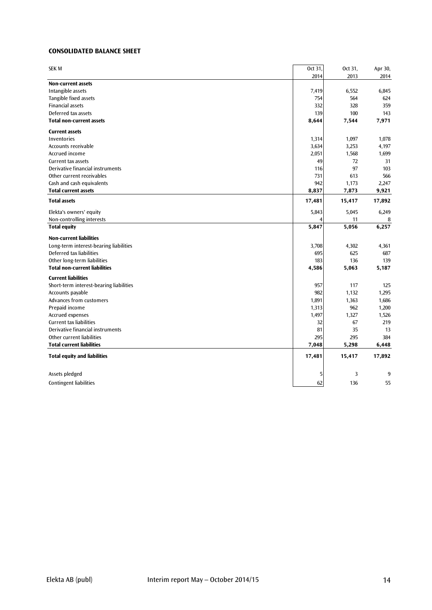#### **CONSOLIDATED BALANCE SHEET**

| <b>SEK M</b>                            | Oct 31, | Oct 31, | Apr 30, |
|-----------------------------------------|---------|---------|---------|
|                                         | 2014    | 2013    | 2014    |
| Non-current assets                      |         |         |         |
| Intangible assets                       | 7,419   | 6,552   | 6,845   |
| Tangible fixed assets                   | 754     | 564     | 624     |
| <b>Financial assets</b>                 | 332     | 328     | 359     |
| Deferred tax assets                     | 139     | 100     | 143     |
| <b>Total non-current assets</b>         | 8,644   | 7,544   | 7,971   |
| <b>Current assets</b>                   |         |         |         |
| Inventories                             | 1,314   | 1,097   | 1,078   |
| Accounts receivable                     | 3,634   | 3,253   | 4,197   |
| Accrued income                          | 2,051   | 1,568   | 1,699   |
| Current tax assets                      | 49      | 72      | 31      |
| Derivative financial instruments        | 116     | 97      | 103     |
| Other current receivables               | 731     | 613     | 566     |
| Cash and cash equivalents               | 942     | 1,173   | 2,247   |
| <b>Total current assets</b>             | 8,837   | 7,873   | 9,921   |
| <b>Total assets</b>                     | 17,481  | 15,417  | 17,892  |
| Elekta's owners' equity                 | 5,843   | 5,045   | 6,249   |
| Non-controlling interests               |         | 11      | 8       |
| <b>Total equity</b>                     | 5,847   | 5,056   | 6,257   |
| <b>Non-current liabilities</b>          |         |         |         |
| Long-term interest-bearing liabilities  | 3,708   | 4,302   | 4,361   |
| Deferred tax liabilities                | 695     | 625     | 687     |
| Other long-term liabilities             | 183     | 136     | 139     |
| <b>Total non-current liabilities</b>    | 4,586   | 5,063   | 5,187   |
| <b>Current liabilities</b>              |         |         |         |
| Short-term interest-bearing liabilities | 957     | 117     | 125     |
| Accounts payable                        | 982     | 1,132   | 1,295   |
| Advances from customers                 | 1,891   | 1,363   | 1,686   |
| Prepaid income                          | 1,313   | 962     | 1,200   |
| Accrued expenses                        | 1,497   | 1,327   | 1,526   |
| <b>Current tax liabilities</b>          | 32      | 67      | 219     |
| Derivative financial instruments        | 81      | 35      | 13      |
| Other current liabilities               | 295     | 295     | 384     |
| <b>Total current liabilities</b>        | 7,048   | 5,298   | 6,448   |
| <b>Total equity and liabilities</b>     | 17,481  | 15,417  | 17,892  |
| Assets pledged                          | 5       | 3       | 9       |
| Contingent liabilities                  | 62      | 136     | 55      |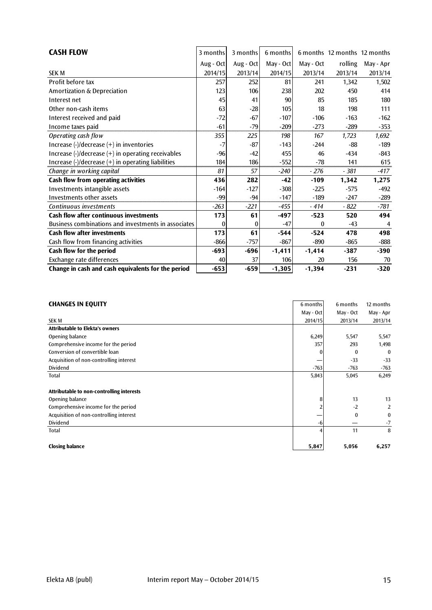| <b>CASH FLOW</b>                                    | 3 months    | 3 months    | 6 months  |              | 6 months 12 months 12 months |           |
|-----------------------------------------------------|-------------|-------------|-----------|--------------|------------------------------|-----------|
|                                                     | Aug - $Oct$ | Aug - $Oct$ | May - Oct | May - Oct    | rolling                      | May - Apr |
| <b>SEK M</b>                                        | 2014/15     | 2013/14     | 2014/15   | 2013/14      | 2013/14                      | 2013/14   |
| Profit before tax                                   | 257         | 252         | 81        | 241          | 1,342                        | 1,502     |
| Amortization & Depreciation                         | 123         | 106         | 238       | 202          | 450                          | 414       |
| Interest net                                        | 45          | 41          | 90        | 85           | 185                          | 180       |
| Other non-cash items                                | 63          | $-28$       | 105       | 18           | 198                          | 111       |
| Interest received and paid                          | $-72$       | $-67$       | $-107$    | $-106$       | $-163$                       | $-162$    |
| Income taxes paid                                   | $-61$       | $-79$       | $-209$    | $-273$       | $-289$                       | $-353$    |
| Operating cash flow                                 | 355         | 225         | 198       | 167          | 1,723                        | 1,692     |
| Increase (-)/decrease (+) in inventories            | $-7$        | $-87$       | $-143$    | $-244$       | -88                          | $-189$    |
| Increase (-)/decrease (+) in operating receivables  | $-96$       | $-42$       | 455       | 46           | $-434$                       | $-843$    |
| Increase (-)/decrease (+) in operating liabilities  | 184         | 186         | $-552$    | $-78$        | 141                          | 615       |
| Change in working capital                           | 81          | 57          | $-240$    | $-276$       | $-381$                       | $-417$    |
| Cash flow from operating activities                 | 436         | 282         | $-42$     | $-109$       | 1,342                        | 1,275     |
| Investments intangible assets                       | $-164$      | $-127$      | $-308$    | $-225$       | $-575$                       | $-492$    |
| Investments other assets                            | -99         | -94         | $-147$    | $-189$       | $-247$                       | $-289$    |
| Continuous investments                              | $-263$      | $-221$      | $-455$    | $-414$       | $-822$                       | -781      |
| <b>Cash flow after continuous investments</b>       | 173         | 61          | $-497$    | $-523$       | 520                          | 494       |
| Business combinations and investments in associates | $\bf{0}$    | 0           | $-47$     | $\mathbf{0}$ | $-43$                        | 4         |
| <b>Cash flow after investments</b>                  | 173         | 61          | $-544$    | $-524$       | 478                          | 498       |
| Cash flow from financing activities                 | $-866$      | $-757$      | $-867$    | $-890$       | $-865$                       | $-888$    |
| Cash flow for the period                            | $-693$      | $-696$      | $-1,411$  | $-1,414$     | $-387$                       | -390      |
| Exchange rate differences                           | 40          | 37          | 106       | 20           | 156                          | 70        |
| Change in cash and cash equivalents for the period  | $-653$      | $-659$      | $-1,305$  | $-1,394$     | $-231$                       | $-320$    |

| <b>CHANGES IN EQUITY</b>                  | 6 months  | 6 months  | 12 months |
|-------------------------------------------|-----------|-----------|-----------|
|                                           | May - Oct | May - Oct | May - Apr |
| <b>SEK M</b>                              | 2014/15   | 2013/14   | 2013/14   |
| <b>Attributable to Elekta's owners</b>    |           |           |           |
| Opening balance                           | 6,249     | 5,547     | 5,547     |
| Comprehensive income for the period       | 357       | 293       | 1,498     |
| Conversion of convertible loan            |           | $\bf{0}$  | $\bf{0}$  |
| Acquisition of non-controlling interest   |           | $-33$     | $-33$     |
| Dividend                                  | $-763$    | $-763$    | $-763$    |
| Total                                     | 5,843     | 5,045     | 6,249     |
| Attributable to non-controlling interests |           |           |           |
| Opening balance                           | 8         | 13        | 13        |
| Comprehensive income for the period       |           | $-2$      | 2         |
| Acquisition of non-controlling interest   |           | 0         | $\bf{0}$  |
| Dividend                                  | -6        |           | $-7$      |
| Total                                     |           | 11        | 8         |
| <b>Closing balance</b>                    | 5,847     | 5,056     | 6,257     |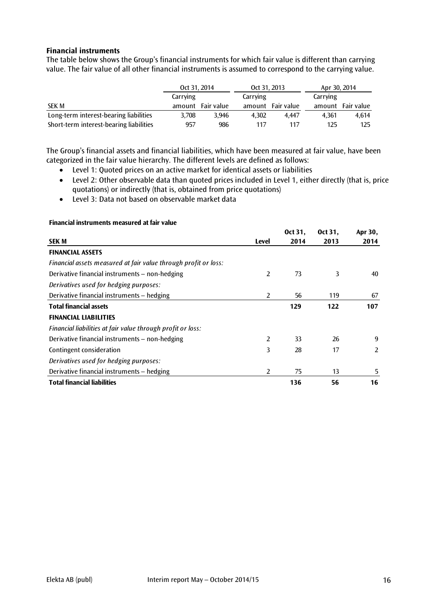# **Financial instruments**

The table below shows the Group's financial instruments for which fair value is different than carrying value. The fair value of all other financial instruments is assumed to correspond to the carrying value.

|                                         | Oct 31, 2014 |                   | Oct 31, 2013 |            | Apr 30, 2014 |            |  |
|-----------------------------------------|--------------|-------------------|--------------|------------|--------------|------------|--|
|                                         | Carrying     |                   | Carrying     |            | Carrying     |            |  |
| <b>SEK M</b>                            |              | amount Fair value | amount       | Fair value | amount       | Fair value |  |
| Long-term interest-bearing liabilities  | 3.708        | 3.946             | 4.302        | 4.447      | 4.361        | 4.614      |  |
| Short-term interest-bearing liabilities | 957          | 986               | 117          | 117        | 125          | 125        |  |

The Group's financial assets and financial liabilities, which have been measured at fair value, have been categorized in the fair value hierarchy. The different levels are defined as follows:

- Level 1: Quoted prices on an active market for identical assets or liabilities
- Level 2: Other observable data than quoted prices included in Level 1, either directly (that is, price quotations) or indirectly (that is, obtained from price quotations)
- Level 3: Data not based on observable market data

|                                                                 |       | Oct 31, | Oct 31, | Apr 30, |
|-----------------------------------------------------------------|-------|---------|---------|---------|
| <b>SEK M</b>                                                    | Level | 2014    | 2013    | 2014    |
| <b>FINANCIAL ASSETS</b>                                         |       |         |         |         |
| Financial assets measured at fair value through profit or loss: |       |         |         |         |
| Derivative financial instruments - non-hedging                  | 2     | 73      | 3       | 40      |
| Derivatives used for hedging purposes:                          |       |         |         |         |
| Derivative financial instruments – hedging                      | 2     | 56      | 119     | 67      |
| <b>Total financial assets</b>                                   |       | 129     | 122     | 107     |
| <b>FINANCIAL LIABILITIES</b>                                    |       |         |         |         |
| Financial liabilities at fair value through profit or loss:     |       |         |         |         |
| Derivative financial instruments - non-hedging                  | 2     | 33      | 26      | 9       |
| Contingent consideration                                        | 3     | 28      | 17      | 2       |
| Derivatives used for hedging purposes:                          |       |         |         |         |
| Derivative financial instruments - hedging                      | 2     | 75      | 13      | 5       |
| <b>Total financial liabilities</b>                              |       | 136     | 56      | 16      |

#### **Financial instruments measured at fair value**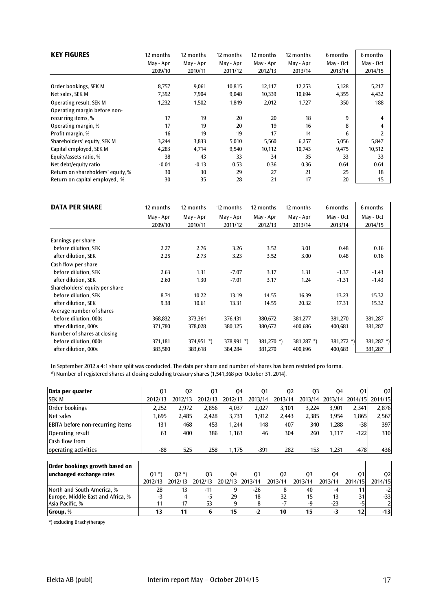| <b>KEY FIGURES</b>                                                            | 12 months   | 12 months   | 12 months   | 12 months   | 12 months   | 6 months  | 6 months  |
|-------------------------------------------------------------------------------|-------------|-------------|-------------|-------------|-------------|-----------|-----------|
|                                                                               | May - Apr   | May - Apr   | May - Apr   | May - Apr   | May - Apr   | May - Oct | May - Oct |
|                                                                               | 2009/10     | 2010/11     | 2011/12     | 2012/13     | 2013/14     | 2013/14   | 2014/15   |
| Order bookings, SEK M                                                         | 8,757       | 9,061       | 10,815      | 12,117      | 12,253      | 5,128     | 5,217     |
| Net sales, SEK M                                                              | 7,392       | 7,904       | 9,048       | 10,339      | 10,694      | 4,355     | 4,432     |
| Operating result, SEK M<br>Operating margin before non-<br>recurring items, % | 1,232<br>17 | 1,502<br>19 | 1,849<br>20 | 2,012<br>20 | 1,727<br>18 | 350<br>9  | 188<br>4  |
| Operating margin, %                                                           | 17          | 19          | 20          | 19          | 16          | 8         |           |
| Profit margin, %                                                              | 16          | 19          | 19          | 17          | 14          | 6         |           |
| Shareholders' equity, SEK M                                                   | 3,244       | 3,833       | 5,010       | 5,560       | 6,257       | 5,056     | 5,847     |
| Capital employed, SEK M                                                       | 4,283       | 4,714       | 9,540       | 10,112      | 10,743      | 9,475     | 10,512    |
| Equity/assets ratio, %                                                        | 38          | 43          | 33          | 34          | 35          | 33        | 33        |
| Net debt/equity ratio                                                         | $-0.04$     | $-0.13$     | 0.53        | 0.36        | 0.36        | 0.64      | 0.64      |
| Return on shareholders' equity, %                                             | 30          | 30          | 29          | 27          | 21          | 25        | 18        |
| Return on capital employed, %                                                 | 30          | 35          | 28          | 21          | 17          | 20        | 15        |

| <b>DATA PER SHARE</b>          | 12 months | 12 months    | 12 months    | 12 months     | 12 months     | 6 months   | 6 months      |
|--------------------------------|-----------|--------------|--------------|---------------|---------------|------------|---------------|
|                                | May - Apr | May - Apr    | May - Apr    | May - Apr     | May - Apr     | May - Oct  | May - Oct     |
|                                | 2009/10   | 2010/11      | 2011/12      | 2012/13       | 2013/14       | 2013/14    | 2014/15       |
| Earnings per share             |           |              |              |               |               |            |               |
| before dilution, SEK           | 2.27      | 2.76         | 3.26         | 3.52          | 3.01          | 0.48       | 0.16          |
| after dilution, SEK            | 2.25      | 2.73         | 3.23         | 3.52          | 3.00          | 0.48       | 0.16          |
| Cash flow per share            |           |              |              |               |               |            |               |
| before dilution, SEK           | 2.63      | 1.31         | $-7.07$      | 3.17          | 1.31          | $-1.37$    | $-1.43$       |
| after dilution, SEK            | 2.60      | 1.30         | $-7.01$      | 3.17          | 1.24          | $-1.31$    | $-1.43$       |
| Shareholders' equity per share |           |              |              |               |               |            |               |
| before dilution, SEK           | 8.74      | 10.22        | 13.19        | 14.55         | 16.39         | 13.23      | 15.32         |
| after dilution, SEK            | 9.38      | 10.61        | 13.31        | 14.55         | 20.32         | 17.31      | 15.32         |
| Average number of shares       |           |              |              |               |               |            |               |
| before dilution, 000s          | 368,832   | 373,364      | 376,431      | 380,672       | 381,277       | 381,270    | 381,287       |
| after dilution, 000s           | 371,780   | 378,028      | 380,125      | 380,672       | 400,686       | 400,681    | 381,287       |
| Number of shares at closing    |           |              |              |               |               |            |               |
| before dilution, 000s          | 371,181   | $374,951$ *) | $378,991$ *) | 381,270 $*$ ) | 381,287 $*$ ) | 381,272 *) | 381,287 $*$ ) |
| after dilution, 000s           | 383,580   | 383,618      | 384,284      | 381,270       | 400,696       | 400,683    | 381,287       |

In September 2012 a 4:1 share split was conducted. The data per share and number of shares has been restated pro forma.

\*) Number of registered shares at closing excluding treasury shares (1,541,368 per October 31, 2014).

| Data per quarter                        | Q1      | Q <sub>2</sub> | Q <sub>3</sub> |         | 04      | 01             | Q <sub>2</sub> | Q <sub>3</sub><br>04 | Q <sub>1</sub> | Q <sub>2</sub> |
|-----------------------------------------|---------|----------------|----------------|---------|---------|----------------|----------------|----------------------|----------------|----------------|
| <b>SEK M</b>                            | 2012/13 | 2012/13        | 2012/13        | 2012/13 | 2013/14 | 2013/14        | 2013/14        | 2013/14              | 2014/15        | 2014/15        |
| Order bookings                          | 2,252   | 2,972          | 2,856          | 4,037   | 2,027   | 3,101          | 3,224          | 3,901                | 2,341          | 2,876          |
| Net sales                               | 1,695   | 2,485          | 2,428          | 3,731   | 1,912   |                | 2,443<br>2,385 | 3,954                | 1,865          | 2,567          |
| <b>EBITA</b> before non-recurring items | 131     | 468            | 453            | 1,244   |         | 148            | 407            | 1,288<br>340         | $-38$          | 397            |
| Operating result                        | 63      | 400            | 386            | 1,163   |         | 46             | 304            | 260<br>1,117         | $-122$         | 310            |
| Cash flow from                          |         |                |                |         |         |                |                |                      |                |                |
| operating activities                    | $-88$   | 525            | 258            | 1,175   | $-391$  |                | 282            | 153<br>1,231         | $-478$         | 436            |
|                                         |         |                |                |         |         |                |                |                      |                |                |
| Order bookings growth based on          |         |                |                |         |         |                |                |                      |                |                |
| unchanged exchange rates                | $Q1 *$  | $02 *$         | Q <sub>3</sub> | Q4      | 01      | Q <sub>2</sub> | Q <sub>3</sub> | Q4                   | Q <sub>1</sub> | Q <sub>2</sub> |
|                                         | 2012/13 | 2012/13        | 2012/13        | 2012/13 | 2013/14 | 2013/14        | 2013/14        | 2013/14              | 2014/15        | 2014/15        |
| North and South America, %              | 28      | 13             | $-11$          | 9       | $-26$   | 8              | 40             | $-4$                 | 11             | $-2$           |
| Europe, Middle East and Africa, %       | $-3$    | 4              | $-5$           | 29      | 18      | 32             | 15             | 13                   | 31             | $-33$          |
| Asia Pacific, %                         | 11      | 17             | 53             | 9       | 8       | $-7$           | $-9$           | $-23$                | $-5$           |                |
| Group, %                                | 13      | 11             | 6              | 15      | $-2$    | 10             | 15             | -3                   | 12             | $-13$          |

\*) excluding Brachytherapy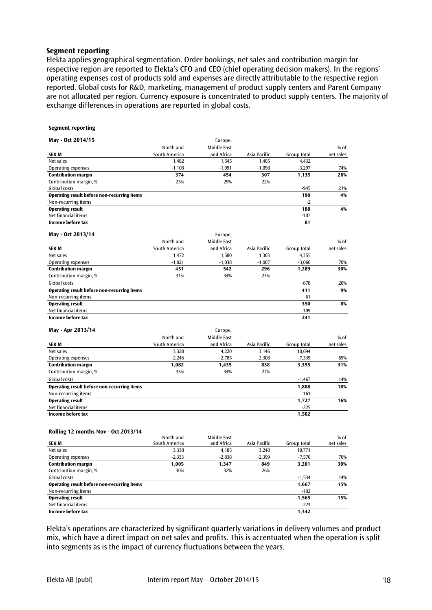#### **Segment reporting**

Elekta applies geographical segmentation. Order bookings, net sales and contribution margin for respective region are reported to Elekta's CFO and CEO (chief operating decision makers). In the regions' operating expenses cost of products sold and expenses are directly attributable to the respective region reported. Global costs for R&D, marketing, management of product supply centers and Parent Company are not allocated per region. Currency exposure is concentrated to product supply centers. The majority of exchange differences in operations are reported in global costs.

#### **Segment reporting**

| May - Oct 2014/15                           |               | Europe,     |              |             |           |
|---------------------------------------------|---------------|-------------|--------------|-------------|-----------|
|                                             | North and     | Middle East |              |             | $%$ of    |
| <b>SEKM</b>                                 | South America | and Africa  | Asia Pacific | Group total | net sales |
| Net sales                                   | 1,482         | 1,545       | 1,405        | 4,432       |           |
| Operating expenses                          | $-1,108$      | $-1,091$    | $-1,098$     | $-3,297$    | 74%       |
| <b>Contribution margin</b>                  | 374           | 454         | 307          | 1,135       | 26%       |
| Contribution margin, %                      | 25%           | 29%         | 22%          |             |           |
| <b>Global costs</b>                         |               |             |              | $-945$      | 21%       |
| Operating result before non-recurring items |               |             |              | 190         | 4%        |
| Non-recurring items                         |               |             |              | $-2$        |           |
| <b>Operating result</b>                     |               |             |              | 188         | 4%        |
| Net financial items                         |               |             |              | $-107$      |           |
| Income before tax                           |               |             |              | 81          |           |
| May - Oct 2013/14                           |               | Europe,     |              |             |           |
|                                             | North and     | Middle East |              |             | % of      |
| <b>SEKM</b>                                 | South America | and Africa  | Asia Pacific | Group total | net sales |
| Net sales                                   | 1,472         | 1,580       | 1,303        | 4,355       |           |
| Operating expenses                          | $-1,021$      | $-1,038$    | $-1,007$     | $-3,066$    | 70%       |
| <b>Contribution margin</b>                  | 451           | 542         | 296          | 1,289       | 30%       |
| Contribution margin, %                      | 31%           | 34%         | 23%          |             |           |
| <b>Global costs</b>                         |               |             |              | $-878$      | 20%       |
| Operating result before non-recurring items |               |             |              | 411         | 9%        |
| Non-recurring items                         |               |             |              | $-61$       |           |
| <b>Operating result</b>                     |               |             |              | 350         | 8%        |
| Net financial items                         |               |             |              | $-109$      |           |
| <b>Income before tax</b>                    |               |             |              | 241         |           |
| May - Apr 2013/14                           |               | Europe,     |              |             |           |
|                                             | North and     | Middle East |              |             | % of      |
| <b>SEK M</b>                                | South America | and Africa  | Asia Pacific | Group total | net sales |
| Net sales                                   | 3,328         | 4,220       | 3,146        | 10,694      |           |
| Operating expenses                          | $-2.246$      | $-2.785$    | $-2.308$     | $-7,339$    | 69%       |
| <b>Contribution margin</b>                  | 1,082         | 1,435       | 838          | 3,355       | 31%       |
| Contribution margin, %                      | 33%           | 34%         | 27%          |             |           |
| Global costs                                |               |             |              | $-1,467$    | 14%       |
| Operating result before non-recurring items |               |             |              | 1,888       | 18%       |
| Non-recurring items                         |               |             |              | $-161$      |           |
| <b>Operating result</b>                     |               |             |              | 1,727       | 16%       |
| Net financial items                         |               |             |              | $-225$      |           |
| Income before tax                           |               |             |              | 1,502       |           |
|                                             |               |             |              |             |           |

#### **Rolling 12 months Nov - Oct 2013/14**

|                                             | North and     | Middle East |              |             | $%$ of    |
|---------------------------------------------|---------------|-------------|--------------|-------------|-----------|
| <b>SEKM</b>                                 | South America | and Africa  | Asia Pacific | Group total | net sales |
| Net sales                                   | 3,338         | 4,185       | 3.248        | 10,771      |           |
| Operating expenses                          | $-2,333$      | $-2,838$    | $-2,399$     | $-7,570$    | 70%       |
| <b>Contribution margin</b>                  | 1,005         | 1,347       | 849          | 3,201       | 30%       |
| Contribution margin, %                      | 30%           | 32%         | 26%          |             |           |
| Global costs                                |               |             |              | $-1,534$    | 14%       |
| Operating result before non-recurring items |               |             |              | 1,667       | 15%       |
| Non-recurring items                         |               |             |              | $-102$      |           |
| <b>Operating result</b>                     |               |             |              | 1,565       | 15%       |
| Net financial items                         |               |             |              | $-223$      |           |
| Income before tax                           |               |             |              | 1,342       |           |

Elekta's operations are characterized by significant quarterly variations in delivery volumes and product mix, which have a direct impact on net sales and profits. This is accentuated when the operation is split into segments as is the impact of currency fluctuations between the years.